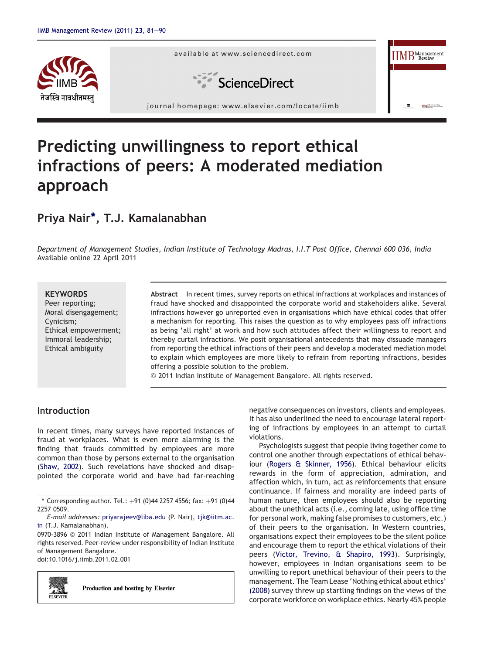



# Predicting unwillingness to report ethical infractions of peers: A moderated mediation approach

# Priya Nair\*, T.J. Kamalanabhan

Department of Management Studies, Indian Institute of Technology Madras, I.I.T Post Office, Chennai 600 036, India Available online 22 April 2011

#### **KEYWORDS**

Peer reporting; Moral disengagement; Cynicism; Ethical empowerment; Immoral leadership; Ethical ambiguity

Abstract In recent times, survey reports on ethical infractions at workplaces and instances of fraud have shocked and disappointed the corporate world and stakeholders alike. Several infractions however go unreported even in organisations which have ethical codes that offer a mechanism for reporting. This raises the question as to why employees pass off infractions as being 'all right' at work and how such attitudes affect their willingness to report and thereby curtail infractions. We posit organisational antecedents that may dissuade managers from reporting the ethical infractions of their peers and develop a moderated mediation model to explain which employees are more likely to refrain from reporting infractions, besides offering a possible solution to the problem.

© 2011 Indian Institute of Management Bangalore. All rights reserved.

# Introduction

In recent times, many surveys have reported instances of fraud at workplaces. What is even more alarming is the finding that frauds committed by employees are more common than those by persons external to the organisation ([Shaw, 2002\)](#page-8-0). Such revelations have shocked and disappointed the corporate world and have had far-reaching

0970-3896 @ 2011 Indian Institute of Management Bangalore. All rights reserved. Peer-review under responsibility of Indian Institute of Management Bangalore.

doi:10.1016/j.iimb.2011.02.001



Production and hosting by Elsevier

negative consequences on investors, clients and employees. It has also underlined the need to encourage lateral reporting of infractions by employees in an attempt to curtail violations.

Psychologists suggest that people living together come to control one another through expectations of ethical behaviour ([Rogers & Skinner, 1956\)](#page-8-0). Ethical behaviour elicits rewards in the form of appreciation, admiration, and affection which, in turn, act as reinforcements that ensure continuance. If fairness and morality are indeed parts of human nature, then employees should also be reporting about the unethical acts (i.e., coming late, using office time for personal work, making false promises to customers, etc.) of their peers to the organisation. In Western countries, organisations expect their employees to be the silent police and encourage them to report the ethical violations of their peers [\(Victor, Trevino, & Shapiro, 1993](#page-8-0)). Surprisingly, however, employees in Indian organisations seem to be unwilling to report unethical behaviour of their peers to the management. The Team Lease 'Nothing ethical about ethics' [\(2008\)](#page-8-0) survey threw up startling findings on the views of the corporate workforce on workplace ethics. Nearly 45% people

 $*$  Corresponding author. Tel.: +91 (0)44 2257 4556; fax: +91 (0)44 2257 0509.

E-mail addresses: [priyarajeev@liba.edu](mailto:priyarajeev@liba.edu) (P. Nair), [tjk@iitm.ac.](mailto:tjk@iitm.ac.in) [in](mailto:tjk@iitm.ac.in) (T.J. Kamalanabhan).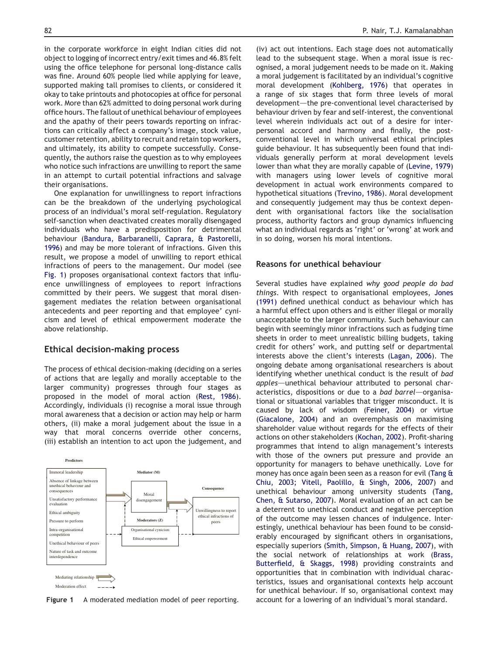<span id="page-1-0"></span>in the corporate workforce in eight Indian cities did not object to logging of incorrect entry/exit times and 46.8% felt using the office telephone for personal long-distance calls was fine. Around 60% people lied while applying for leave, supported making tall promises to clients, or considered it okay to take printouts and photocopies at office for personal work. More than 62% admitted to doing personal work during office hours. The fallout of unethical behaviour of employees and the apathy of their peers towards reporting on infractions can critically affect a company's image, stock value, customer retention, ability to recruit and retain top workers, and ultimately, its ability to compete successfully. Consequently, the authors raise the question as to why employees who notice such infractions are unwilling to report the same in an attempt to curtail potential infractions and salvage their organisations.

One explanation for unwillingness to report infractions can be the breakdown of the underlying psychological process of an individual's moral self-regulation. Regulatory self-sanction when deactivated creates morally disengaged individuals who have a predisposition for detrimental behaviour ([Bandura, Barbaranelli, Caprara, & Pastorelli,](#page-7-0) [1996](#page-7-0)) and may be more tolerant of infractions. Given this result, we propose a model of unwilling to report ethical infractions of peers to the management. Our model (see Fig. 1) proposes organisational context factors that influence unwillingness of employees to report infractions committed by their peers. We suggest that moral disengagement mediates the relation between organisational antecedents and peer reporting and that employee' cynicism and level of ethical empowerment moderate the above relationship.

# Ethical decision-making process

The process of ethical decision-making (deciding on a series of actions that are legally and morally acceptable to the larger community) progresses through four stages as proposed in the model of moral action ([Rest, 1986](#page-8-0)). Accordingly, individuals (i) recognise a moral issue through moral awareness that a decision or action may help or harm others, (ii) make a moral judgement about the issue in a way that moral concerns override other concerns, (iii) establish an intention to act upon the judgement, and



Figure 1 A moderated mediation model of peer reporting.

(iv) act out intentions. Each stage does not automatically lead to the subsequent stage. When a moral issue is recognised, a moral judgement needs to be made on it. Making a moral judgement is facilitated by an individual's cognitive moral development [\(Kohlberg, 1976](#page-8-0)) that operates in a range of six stages that form three levels of moral development-the pre-conventional level characterised by behaviour driven by fear and self-interest, the conventional level wherein individuals act out of a desire for interpersonal accord and harmony and finally, the postconventional level in which universal ethical principles guide behaviour. It has subsequently been found that individuals generally perform at moral development levels lower than what they are morally capable of ([Levine, 1979\)](#page-8-0) with managers using lower levels of cognitive moral development in actual work environments compared to hypothetical situations ([Trevino, 1986](#page-8-0)). Moral development and consequently judgement may thus be context dependent with organisational factors like the socialisation process, authority factors and group dynamics influencing what an individual regards as 'right' or 'wrong' at work and in so doing, worsen his moral intentions.

#### Reasons for unethical behaviour

Several studies have explained why good people do bad things. With respect to organisational employees, [Jones](#page-8-0) [\(1991\)](#page-8-0) defined unethical conduct as behaviour which has a harmful effect upon others and is either illegal or morally unacceptable to the larger community. Such behaviour can begin with seemingly minor infractions such as fudging time sheets in order to meet unrealistic billing budgets, taking credit for others' work, and putting self or departmental interests above the client's interests ([Lagan, 2006\)](#page-8-0). The ongoing debate among organisational researchers is about identifying whether unethical conduct is the result of bad apples—unethical behaviour attributed to personal characteristics, dispositions or due to a bad barrel-organisational or situational variables that trigger misconduct. It is caused by lack of wisdom ([Feiner, 2004](#page-7-0)) or virtue [\(Giacalone, 2004](#page-8-0)) and an overemphasis on maximising shareholder value without regards for the effects of their actions on other stakeholders [\(Kochan, 2002](#page-8-0)). Profit-sharing programmes that intend to align management's interests with those of the owners put pressure and provide an opportunity for managers to behave unethically. Love for money has once again been seen as a reason for evil [\(Tang &](#page-8-0) [Chiu, 2003; Vitell, Paolillo, & Singh, 2006, 2007\)](#page-8-0) and unethical behaviour among university students ([Tang,](#page-8-0) [Chen, & Sutarso, 2007\)](#page-8-0). Moral evaluation of an act can be a deterrent to unethical conduct and negative perception of the outcome may lessen chances of indulgence. Interestingly, unethical behaviour has been found to be considerably encouraged by significant others in organisations, especially superiors [\(Smith, Simpson, & Huang, 2007\)](#page-8-0), with the social network of relationships at work [\(Brass,](#page-7-0) [Butterfield, & Skaggs, 1998](#page-7-0)) providing constraints and opportunities that in combination with individual characteristics, issues and organisational contexts help account for unethical behaviour. If so, organisational context may account for a lowering of an individual's moral standard.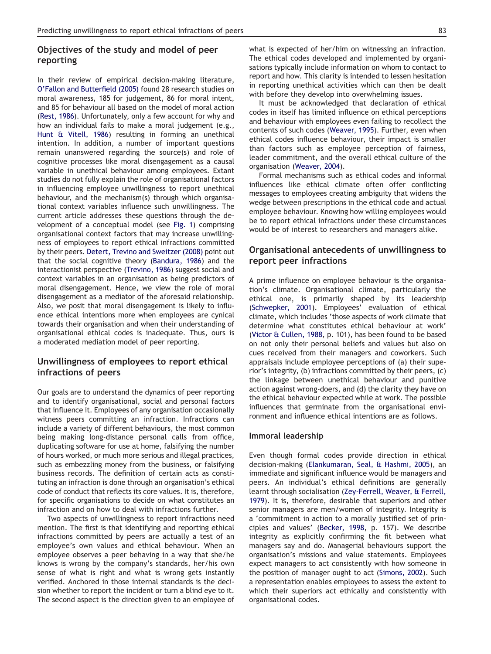# Objectives of the study and model of peer reporting

In their review of empirical decision-making literature, [O'Fallon and Butterfield \(2005\)](#page-8-0) found 28 research studies on moral awareness, 185 for judgement, 86 for moral intent, and 85 for behaviour all based on the model of moral action ([Rest, 1986\)](#page-8-0). Unfortunately, only a few account for why and how an individual fails to make a moral judgement (e.g., [Hunt & Vitell, 1986\)](#page-8-0) resulting in forming an unethical intention. In addition, a number of important questions remain unanswered regarding the source(s) and role of cognitive processes like moral disengagement as a causal variable in unethical behaviour among employees. Extant studies do not fully explain the role of organisational factors in influencing employee unwillingness to report unethical behaviour, and the mechanism(s) through which organisational context variables influence such unwillingness. The current article addresses these questions through the development of a conceptual model (see [Fig. 1](#page-1-0)) comprising organisational context factors that may increase unwillingness of employees to report ethical infractions committed by their peers. [Detert, Trevino and Sweitzer \(2008\)](#page-7-0) point out that the social cognitive theory [\(Bandura, 1986](#page-7-0)) and the interactionist perspective ([Trevino, 1986](#page-8-0)) suggest social and context variables in an organisation as being predictors of moral disengagement. Hence, we view the role of moral disengagement as a mediator of the aforesaid relationship. Also, we posit that moral disengagement is likely to influence ethical intentions more when employees are cynical towards their organisation and when their understanding of organisational ethical codes is inadequate. Thus, ours is a moderated mediation model of peer reporting.

# Unwillingness of employees to report ethical infractions of peers

Our goals are to understand the dynamics of peer reporting and to identify organisational, social and personal factors that influence it. Employees of any organisation occasionally witness peers committing an infraction. Infractions can include a variety of different behaviours, the most common being making long-distance personal calls from office, duplicating software for use at home, falsifying the number of hours worked, or much more serious and illegal practices, such as embezzling money from the business, or falsifying business records. The definition of certain acts as constituting an infraction is done through an organisation's ethical code of conduct that reflects its core values. It is, therefore, for specific organisations to decide on what constitutes an infraction and on how to deal with infractions further.

Two aspects of unwillingness to report infractions need mention. The first is that identifying and reporting ethical infractions committed by peers are actually a test of an employee's own values and ethical behaviour. When an employee observes a peer behaving in a way that she/he knows is wrong by the company's standards, her/his own sense of what is right and what is wrong gets instantly verified. Anchored in those internal standards is the decision whether to report the incident or turn a blind eye to it. The second aspect is the direction given to an employee of

what is expected of her/him on witnessing an infraction. The ethical codes developed and implemented by organisations typically include information on whom to contact to report and how. This clarity is intended to lessen hesitation in reporting unethical activities which can then be dealt with before they develop into overwhelming issues.

It must be acknowledged that declaration of ethical codes in itself has limited influence on ethical perceptions and behaviour with employees even failing to recollect the contents of such codes ([Weaver, 1995\)](#page-9-0). Further, even when ethical codes influence behaviour, their impact is smaller than factors such as employee perception of fairness, leader commitment, and the overall ethical culture of the organisation ([Weaver, 2004](#page-9-0)).

Formal mechanisms such as ethical codes and informal influences like ethical climate often offer conflicting messages to employees creating ambiguity that widens the wedge between prescriptions in the ethical code and actual employee behaviour. Knowing how willing employees would be to report ethical infractions under these circumstances would be of interest to researchers and managers alike.

# Organisational antecedents of unwillingness to report peer infractions

A prime influence on employee behaviour is the organisation's climate. Organisational climate, particularly the ethical one, is primarily shaped by its leadership ([Schwepker, 2001](#page-8-0)). Employees' evaluation of ethical climate, which includes 'those aspects of work climate that determine what constitutes ethical behaviour at work' ([Victor & Cullen, 1988](#page-8-0), p. 101), has been found to be based on not only their personal beliefs and values but also on cues received from their managers and coworkers. Such appraisals include employee perceptions of (a) their superior's integrity, (b) infractions committed by their peers, (c) the linkage between unethical behaviour and punitive action against wrong-doers, and (d) the clarity they have on the ethical behaviour expected while at work. The possible influences that germinate from the organisational environment and influence ethical intentions are as follows.

#### Immoral leadership

Even though formal codes provide direction in ethical decision-making [\(Elankumaran, Seal, & Hashmi, 2005\)](#page-7-0), an immediate and significant influence would be managers and peers. An individual's ethical definitions are generally learnt through socialisation ([Zey-Ferrell, Weaver, & Ferrell,](#page-9-0) [1979](#page-9-0)). It is, therefore, desirable that superiors and other senior managers are men/women of integrity. Integrity is a 'commitment in action to a morally justified set of principles and values' ([Becker, 1998](#page-7-0), p. 157). We describe integrity as explicitly confirming the fit between what managers say and do. Managerial behaviours support the organisation's missions and value statements. Employees expect managers to act consistently with how someone in the position of manager ought to act [\(Simons, 2002](#page-8-0)). Such a representation enables employees to assess the extent to which their superiors act ethically and consistently with organisational codes.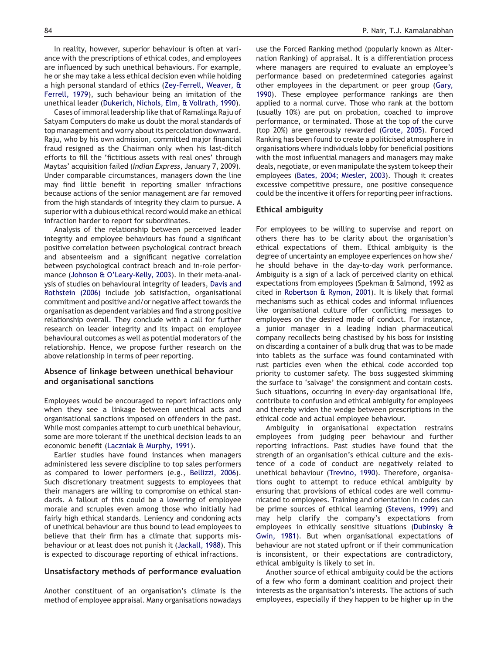In reality, however, superior behaviour is often at variance with the prescriptions of ethical codes, and employees are influenced by such unethical behaviours. For example, he or she may take a less ethical decision even while holding a high personal standard of ethics ([Zey-Ferrell, Weaver, &](#page-9-0) [Ferrell, 1979](#page-9-0)), such behaviour being an imitation of the unethical leader [\(Dukerich, Nichols, Elm, & Vollrath, 1990](#page-7-0)).

Cases of immoral leadership like that of Ramalinga Raju of Satyam Computers do make us doubt the moral standards of top management and worry about its percolation downward. Raju, who by his own admission, committed major financial fraud resigned as the Chairman only when his last-ditch efforts to fill the 'fictitious assets with real ones' through Maytas' acquisition failed (Indian Express, January 7, 2009). Under comparable circumstances, managers down the line may find little benefit in reporting smaller infractions because actions of the senior management are far removed from the high standards of integrity they claim to pursue. A superior with a dubious ethical record would make an ethical infraction harder to report for subordinates.

Analysis of the relationship between perceived leader integrity and employee behaviours has found a significant positive correlation between psychological contract breach and absenteeism and a significant negative correlation between psychological contract breach and in-role performance [\(Johnson & O'Leary-Kelly, 2003\)](#page-8-0). In their meta-analysis of studies on behavioural integrity of leaders, [Davis and](#page-7-0) [Rothstein \(2006\)](#page-7-0) include job satisfaction, organisational commitment and positive and/or negative affect towards the organisation as dependent variables and find a strong positive relationship overall. They conclude with a call for further research on leader integrity and its impact on employee behavioural outcomes as well as potential moderators of the relationship. Hence, we propose further research on the above relationship in terms of peer reporting.

#### Absence of linkage between unethical behaviour and organisational sanctions

Employees would be encouraged to report infractions only when they see a linkage between unethical acts and organisational sanctions imposed on offenders in the past. While most companies attempt to curb unethical behaviour, some are more tolerant if the unethical decision leads to an economic benefit [\(Laczniak & Murphy, 1991](#page-8-0)).

Earlier studies have found instances when managers administered less severe discipline to top sales performers as compared to lower performers (e.g., [Bellizzi, 2006](#page-7-0)). Such discretionary treatment suggests to employees that their managers are willing to compromise on ethical standards. A fallout of this could be a lowering of employee morale and scruples even among those who initially had fairly high ethical standards. Leniency and condoning acts of unethical behaviour are thus bound to lead employees to believe that their firm has a climate that supports misbehaviour or at least does not punish it [\(Jackall, 1988\)](#page-8-0). This is expected to discourage reporting of ethical infractions.

#### Unsatisfactory methods of performance evaluation

Another constituent of an organisation's climate is the method of employee appraisal. Many organisations nowadays use the Forced Ranking method (popularly known as Alternation Ranking) of appraisal. It is a differentiation process where managers are required to evaluate an employee's performance based on predetermined categories against other employees in the department or peer group ([Gary,](#page-8-0) [1990](#page-8-0)). These employee performance rankings are then applied to a normal curve. Those who rank at the bottom (usually 10%) are put on probation, coached to improve performance, or terminated. Those at the top of the curve (top 20%) are generously rewarded [\(Grote, 2005\)](#page-8-0). Forced Ranking has been found to create a politicised atmosphere in organisations where individuals lobby for beneficial positions with the most influential managers and managers may make deals, negotiate, or even manipulate the system to keep their employees [\(Bates, 2004; Miesler, 2003\)](#page-7-0). Though it creates excessive competitive pressure, one positive consequence could be the incentive it offers for reporting peer infractions.

#### Ethical ambiguity

For employees to be willing to supervise and report on others there has to be clarity about the organisation's ethical expectations of them. Ethical ambiguity is the degree of uncertainty an employee experiences on how she/ he should behave in the day-to-day work performance. Ambiguity is a sign of a lack of perceived clarity on ethical expectations from employees (Spekman & Salmond, 1992 as cited in [Robertson & Rymon, 2001](#page-8-0)). It is likely that formal mechanisms such as ethical codes and informal influences like organisational culture offer conflicting messages to employees on the desired mode of conduct. For instance, a junior manager in a leading Indian pharmaceutical company recollects being chastised by his boss for insisting on discarding a container of a bulk drug that was to be made into tablets as the surface was found contaminated with rust particles even when the ethical code accorded top priority to customer safety. The boss suggested skimming the surface to 'salvage' the consignment and contain costs. Such situations, occurring in every-day organisational life, contribute to confusion and ethical ambiguity for employees and thereby widen the wedge between prescriptions in the ethical code and actual employee behaviour.

Ambiguity in organisational expectation restrains employees from judging peer behaviour and further reporting infractions. Past studies have found that the strength of an organisation's ethical culture and the existence of a code of conduct are negatively related to unethical behaviour ([Trevino, 1990](#page-8-0)). Therefore, organisations ought to attempt to reduce ethical ambiguity by ensuring that provisions of ethical codes are well communicated to employees. Training and orientation in codes can be prime sources of ethical learning ([Stevens, 1999\)](#page-8-0) and may help clarify the company's expectations from employees in ethically sensitive situations [\(Dubinsky &](#page-7-0) [Gwin, 1981](#page-7-0)). But when organisational expectations of behaviour are not stated upfront or if their communication is inconsistent, or their expectations are contradictory, ethical ambiguity is likely to set in.

Another source of ethical ambiguity could be the actions of a few who form a dominant coalition and project their interests as the organisation's interests. The actions of such employees, especially if they happen to be higher up in the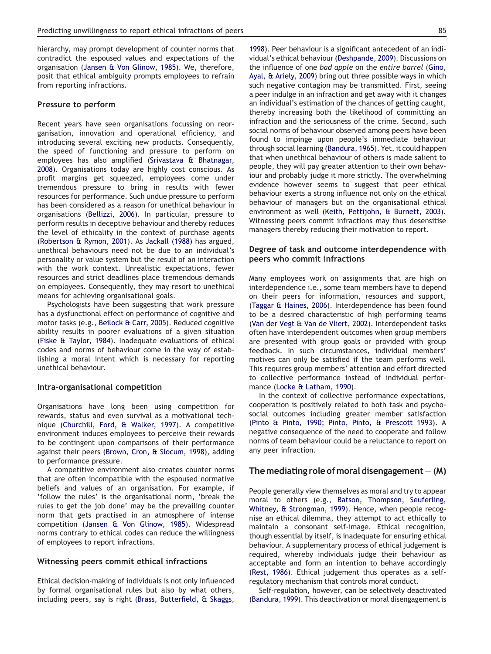hierarchy, may prompt development of counter norms that contradict the espoused values and expectations of the organisation [\(Jansen & Von Glinow, 1985\)](#page-8-0). We, therefore, posit that ethical ambiguity prompts employees to refrain from reporting infractions.

#### Pressure to perform

Recent years have seen organisations focussing on reorganisation, innovation and operational efficiency, and introducing several exciting new products. Consequently, the speed of functioning and pressure to perform on employees has also amplified [\(Srivastava & Bhatnagar,](#page-8-0) [2008](#page-8-0)). Organisations today are highly cost conscious. As profit margins get squeezed, employees come under tremendous pressure to bring in results with fewer resources for performance. Such undue pressure to perform has been considered as a reason for unethical behaviour in organisations [\(Bellizzi, 2006\)](#page-7-0). In particular, pressure to perform results in deceptive behaviour and thereby reduces the level of ethicality in the context of purchase agents ([Robertson & Rymon, 2001](#page-8-0)). As [Jackall \(1988\)](#page-8-0) has argued, unethical behaviours need not be due to an individual's personality or value system but the result of an interaction with the work context. Unrealistic expectations, fewer resources and strict deadlines place tremendous demands on employees. Consequently, they may resort to unethical means for achieving organisational goals.

Psychologists have been suggesting that work pressure has a dysfunctional effect on performance of cognitive and motor tasks (e.g., [Beilock & Carr, 2005\)](#page-7-0). Reduced cognitive ability results in poorer evaluations of a given situation ([Fiske & Taylor, 1984](#page-8-0)). Inadequate evaluations of ethical codes and norms of behaviour come in the way of establishing a moral intent which is necessary for reporting unethical behaviour.

#### Intra-organisational competition

Organisations have long been using competition for rewards, status and even survival as a motivational technique [\(Churchill, Ford, & Walker, 1997\)](#page-7-0). A competitive environment induces employees to perceive their rewards to be contingent upon comparisons of their performance against their peers [\(Brown, Cron, & Slocum, 1998\)](#page-7-0), adding to performance pressure.

A competitive environment also creates counter norms that are often incompatible with the espoused normative beliefs and values of an organisation. For example, if 'follow the rules' is the organisational norm, 'break the rules to get the job done' may be the prevailing counter norm that gets practised in an atmosphere of intense competition [\(Jansen & Von Glinow, 1985\)](#page-8-0). Widespread norms contrary to ethical codes can reduce the willingness of employees to report infractions.

#### Witnessing peers commit ethical infractions

Ethical decision-making of individuals is not only influenced by formal organisational rules but also by what others, including peers, say is right ([Brass, Butterfield, & Skaggs,](#page-7-0)

[1998](#page-7-0)). Peer behaviour is a significant antecedent of an individual's ethical behaviour ([Deshpande, 2009](#page-7-0)). Discussions on the influence of one bad apple on the entire barrel ([Gino,](#page-8-0) [Ayal, & Ariely, 2009\)](#page-8-0) bring out three possible ways in which such negative contagion may be transmitted. First, seeing a peer indulge in an infraction and get away with it changes an individual's estimation of the chances of getting caught, thereby increasing both the likelihood of committing an infraction and the seriousness of the crime. Second, such social norms of behaviour observed among peers have been found to impinge upon people's immediate behaviour through social learning [\(Bandura, 1965](#page-7-0)). Yet, it could happen that when unethical behaviour of others is made salient to people, they will pay greater attention to their own behaviour and probably judge it more strictly. The overwhelming evidence however seems to suggest that peer ethical behaviour exerts a strong influence not only on the ethical behaviour of managers but on the organisational ethical environment as well [\(Keith, Pettijohn, & Burnett, 2003\)](#page-8-0). Witnessing peers commit infractions may thus desensitise managers thereby reducing their motivation to report.

# Degree of task and outcome interdependence with peers who commit infractions

Many employees work on assignments that are high on interdependence i.e., some team members have to depend on their peers for information, resources and support, ([Taggar & Haines, 2006\)](#page-8-0). Interdependence has been found to be a desired characteristic of high performing teams ([Van der Vegt & Van de Vliert, 2002\)](#page-8-0). Interdependent tasks often have interdependent outcomes when group members are presented with group goals or provided with group feedback. In such circumstances, individual members' motives can only be satisfied if the team performs well. This requires group members' attention and effort directed to collective performance instead of individual performance [\(Locke & Latham, 1990](#page-8-0)).

In the context of collective performance expectations, cooperation is positively related to both task and psychosocial outcomes including greater member satisfaction ([Pinto & Pinto, 1990; Pinto, Pinto, & Prescott 1993\)](#page-8-0). A negative consequence of the need to cooperate and follow norms of team behaviour could be a reluctance to report on any peer infraction.

#### The mediating role of moral disengagement  $-$  (M)

People generally view themselves as moral and try to appear moral to others (e.g., [Batson, Thompson, Seuferling,](#page-7-0) [Whitney, & Strongman, 1999](#page-7-0)). Hence, when people recognise an ethical dilemma, they attempt to act ethically to maintain a consonant self-image. Ethical recognition, though essential by itself, is inadequate for ensuring ethical behaviour. A supplementary process of ethical judgement is required, whereby individuals judge their behaviour as acceptable and form an intention to behave accordingly ([Rest, 1986](#page-8-0)). Ethical judgement thus operates as a selfregulatory mechanism that controls moral conduct.

Self-regulation, however, can be selectively deactivated ([Bandura, 1999\)](#page-7-0). This deactivation or moral disengagement is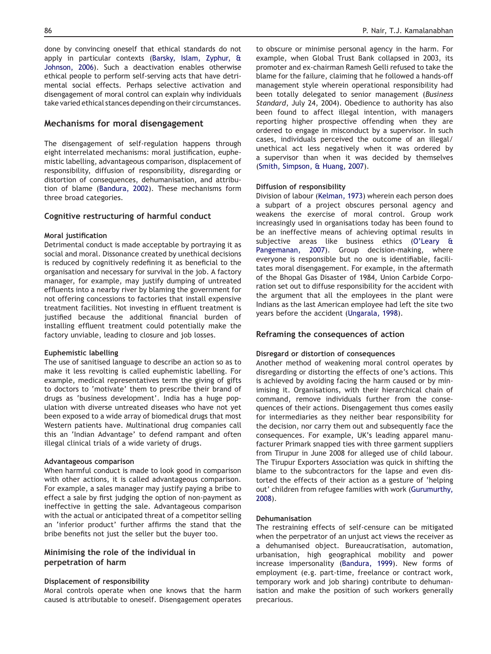done by convincing oneself that ethical standards do not apply in particular contexts ([Barsky, Islam, Zyphur, &](#page-7-0) [Johnson, 2006\)](#page-7-0). Such a deactivation enables otherwise ethical people to perform self-serving acts that have detrimental social effects. Perhaps selective activation and disengagement of moral control can explain why individuals take varied ethical stances depending on their circumstances.

# Mechanisms for moral disengagement

The disengagement of self-regulation happens through eight interrelated mechanisms: moral justification, euphemistic labelling, advantageous comparison, displacement of responsibility, diffusion of responsibility, disregarding or distortion of consequences, dehumanisation, and attribution of blame [\(Bandura, 2002](#page-7-0)). These mechanisms form three broad categories.

# Cognitive restructuring of harmful conduct

# Moral justification

Detrimental conduct is made acceptable by portraying it as social and moral. Dissonance created by unethical decisions is reduced by cognitively redefining it as beneficial to the organisation and necessary for survival in the job. A factory manager, for example, may justify dumping of untreated effluents into a nearby river by blaming the government for not offering concessions to factories that install expensive treatment facilities. Not investing in effluent treatment is justified because the additional financial burden of installing effluent treatment could potentially make the factory unviable, leading to closure and job losses.

# Euphemistic labelling

The use of sanitised language to describe an action so as to make it less revolting is called euphemistic labelling. For example, medical representatives term the giving of gifts to doctors to 'motivate' them to prescribe their brand of drugs as 'business development'. India has a huge population with diverse untreated diseases who have not yet been exposed to a wide array of biomedical drugs that most Western patients have. Multinational drug companies call this an 'Indian Advantage' to defend rampant and often illegal clinical trials of a wide variety of drugs.

# Advantageous comparison

When harmful conduct is made to look good in comparison with other actions, it is called advantageous comparison. For example, a sales manager may justify paying a bribe to effect a sale by first judging the option of non-payment as ineffective in getting the sale. Advantageous comparison with the actual or anticipated threat of a competitor selling an 'inferior product' further affirms the stand that the bribe benefits not just the seller but the buyer too.

# Minimising the role of the individual in perpetration of harm

#### Displacement of responsibility

Moral controls operate when one knows that the harm caused is attributable to oneself. Disengagement operates

to obscure or minimise personal agency in the harm. For example, when Global Trust Bank collapsed in 2003, its promoter and ex-chairman Ramesh Gelli refused to take the blame for the failure, claiming that he followed a hands-off management style wherein operational responsibility had been totally delegated to senior management (Business Standard, July 24, 2004). Obedience to authority has also been found to affect illegal intention, with managers reporting higher prospective offending when they are ordered to engage in misconduct by a supervisor. In such cases, individuals perceived the outcome of an illegal/ unethical act less negatively when it was ordered by a supervisor than when it was decided by themselves [\(Smith, Simpson, & Huang, 2007](#page-8-0)).

# Diffusion of responsibility

Division of labour [\(Kelman, 1973](#page-8-0)) wherein each person does a subpart of a project obscures personal agency and weakens the exercise of moral control. Group work increasingly used in organisations today has been found to be an ineffective means of achieving optimal results in subjective areas like business ethics ([O'Leary &](#page-8-0) [Pangemanan, 2007](#page-8-0)). Group decision-making, where everyone is responsible but no one is identifiable, facilitates moral disengagement. For example, in the aftermath of the Bhopal Gas Disaster of 1984, Union Carbide Corporation set out to diffuse responsibility for the accident with the argument that all the employees in the plant were Indians as the last American employee had left the site two years before the accident [\(Ungarala, 1998\)](#page-8-0).

# Reframing the consequences of action

#### Disregard or distortion of consequences

Another method of weakening moral control operates by disregarding or distorting the effects of one's actions. This is achieved by avoiding facing the harm caused or by minimising it. Organisations, with their hierarchical chain of command, remove individuals further from the consequences of their actions. Disengagement thus comes easily for intermediaries as they neither bear responsibility for the decision, nor carry them out and subsequently face the consequences. For example, UK's leading apparel manufacturer Primark snapped ties with three garment suppliers from Tirupur in June 2008 for alleged use of child labour. The Tirupur Exporters Association was quick in shifting the blame to the subcontractors for the lapse and even distorted the effects of their action as a gesture of 'helping out' children from refugee families with work ([Gurumurthy,](#page-8-0) [2008](#page-8-0)).

# Dehumanisation

The restraining effects of self-censure can be mitigated when the perpetrator of an unjust act views the receiver as a dehumanised object. Bureaucratisation, automation, urbanisation, high geographical mobility and power increase impersonality [\(Bandura, 1999](#page-7-0)). New forms of employment (e.g. part-time, freelance or contract work, temporary work and job sharing) contribute to dehumanisation and make the position of such workers generally precarious.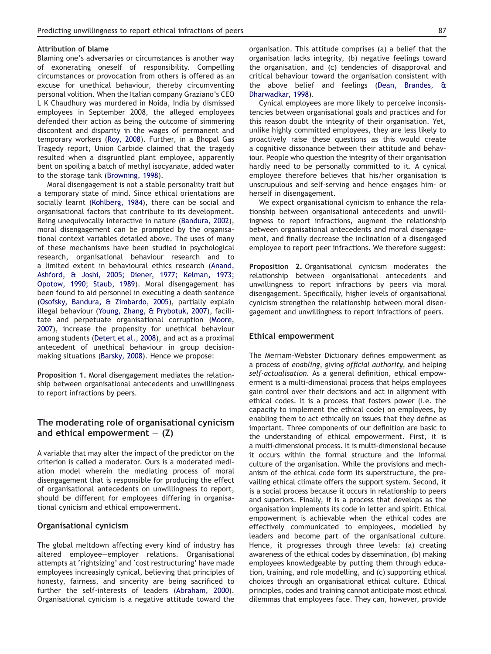#### Attribution of blame

Blaming one's adversaries or circumstances is another way of exonerating oneself of responsibility. Compelling circumstances or provocation from others is offered as an excuse for unethical behaviour, thereby circumventing personal volition. When the Italian company Graziano's CEO L K Chaudhury was murdered in Noida, India by dismissed employees in September 2008, the alleged employees defended their action as being the outcome of simmering discontent and disparity in the wages of permanent and temporary workers ([Roy, 2008\)](#page-8-0). Further, in a Bhopal Gas Tragedy report, Union Carbide claimed that the tragedy resulted when a disgruntled plant employee, apparently bent on spoiling a batch of methyl isocyanate, added water to the storage tank ([Browning, 1998\)](#page-7-0).

Moral disengagement is not a stable personality trait but a temporary state of mind. Since ethical orientations are socially learnt [\(Kohlberg, 1984\)](#page-8-0), there can be social and organisational factors that contribute to its development. Being unequivocally interactive in nature ([Bandura, 2002\)](#page-7-0), moral disengagement can be prompted by the organisational context variables detailed above. The uses of many of these mechanisms have been studied in psychological research, organisational behaviour research and to a limited extent in behavioural ethics research [\(Anand,](#page-7-0) [Ashford, & Joshi, 2005; Diener, 1977; Kelman, 1973;](#page-7-0) [Opotow, 1990; Staub, 1989\)](#page-7-0). Moral disengagement has been found to aid personnel in executing a death sentence ([Osofsky, Bandura, & Zimbardo, 2005\)](#page-8-0), partially explain illegal behaviour ([Young, Zhang, & Prybotuk, 2007](#page-9-0)), facilitate and perpetuate organisational corruption ([Moore,](#page-8-0) [2007](#page-8-0)), increase the propensity for unethical behaviour among students ([Detert et al., 2008](#page-7-0)), and act as a proximal antecedent of unethical behaviour in group decisionmaking situations [\(Barsky, 2008\)](#page-7-0). Hence we propose:

Proposition 1. Moral disengagement mediates the relationship between organisational antecedents and unwillingness to report infractions by peers.

# The moderating role of organisational cynicism and ethical empowerment  $-$  (Z)

A variable that may alter the impact of the predictor on the criterion is called a moderator. Ours is a moderated mediation model wherein the mediating process of moral disengagement that is responsible for producing the effect of organisational antecedents on unwillingness to report, should be different for employees differing in organisational cynicism and ethical empowerment.

# Organisational cynicism

The global meltdown affecting every kind of industry has altered employee-employer relations. Organisational attempts at 'rightsizing' and 'cost restructuring' have made employees increasingly cynical, believing that principles of honesty, fairness, and sincerity are being sacrificed to further the self-interests of leaders ([Abraham, 2000\)](#page-7-0). Organisational cynicism is a negative attitude toward the organisation. This attitude comprises (a) a belief that the organisation lacks integrity, (b) negative feelings toward the organisation, and (c) tendencies of disapproval and critical behaviour toward the organisation consistent with the above belief and feelings [\(Dean, Brandes, &](#page-7-0) [Dharwadkar, 1998\)](#page-7-0).

Cynical employees are more likely to perceive inconsistencies between organisational goals and practices and for this reason doubt the integrity of their organisation. Yet, unlike highly committed employees, they are less likely to proactively raise these questions as this would create a cognitive dissonance between their attitude and behaviour. People who question the integrity of their organisation hardly need to be personally committed to it. A cynical employee therefore believes that his/her organisation is unscrupulous and self-serving and hence engages him- or herself in disengagement.

We expect organisational cynicism to enhance the relationship between organisational antecedents and unwillingness to report infractions, augment the relationship between organisational antecedents and moral disengagement, and finally decrease the inclination of a disengaged employee to report peer infractions. We therefore suggest:

Proposition 2. Organisational cynicism moderates the relationship between organisational antecedents and unwillingness to report infractions by peers via moral disengagement. Specifically, higher levels of organisational cynicism strengthen the relationship between moral disengagement and unwillingness to report infractions of peers.

#### Ethical empowerment

The Merriam-Webster Dictionary defines empowerment as a process of enabling, giving official authority, and helping self-actualisation. As a general definition, ethical empowerment is a multi-dimensional process that helps employees gain control over their decisions and act in alignment with ethical codes. It is a process that fosters power (i.e. the capacity to implement the ethical code) on employees, by enabling them to act ethically on issues that they define as important. Three components of our definition are basic to the understanding of ethical empowerment. First, it is a multi-dimensional process. It is multi-dimensional because it occurs within the formal structure and the informal culture of the organisation. While the provisions and mechanism of the ethical code form its superstructure, the prevailing ethical climate offers the support system. Second, it is a social process because it occurs in relationship to peers and superiors. Finally, it is a process that develops as the organisation implements its code in letter and spirit. Ethical empowerment is achievable when the ethical codes are effectively communicated to employees, modelled by leaders and become part of the organisational culture. Hence, it progresses through three levels: (a) creating awareness of the ethical codes by dissemination, (b) making employees knowledgeable by putting them through education, training, and role modelling, and (c) supporting ethical choices through an organisational ethical culture. Ethical principles, codes and training cannot anticipate most ethical dilemmas that employees face. They can, however, provide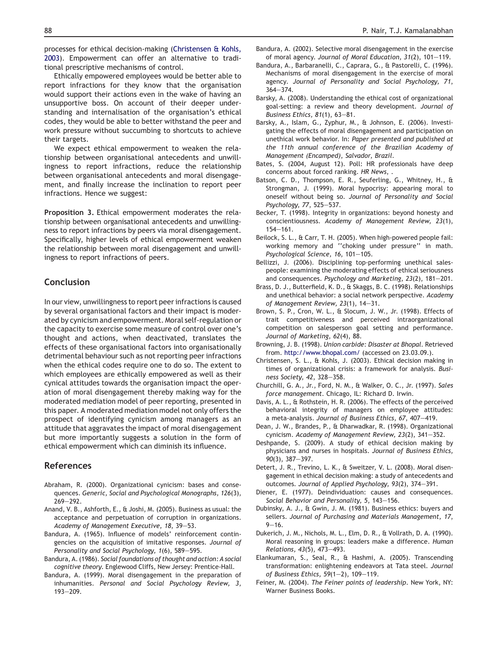<span id="page-7-0"></span>processes for ethical decision-making (Christensen & Kohls, 2003). Empowerment can offer an alternative to traditional prescriptive mechanisms of control.

Ethically empowered employees would be better able to report infractions for they know that the organisation would support their actions even in the wake of having an unsupportive boss. On account of their deeper understanding and internalisation of the organisation's ethical codes, they would be able to better withstand the peer and work pressure without succumbing to shortcuts to achieve their targets.

We expect ethical empowerment to weaken the relationship between organisational antecedents and unwillingness to report infractions, reduce the relationship between organisational antecedents and moral disengagement, and finally increase the inclination to report peer infractions. Hence we suggest:

Proposition 3. Ethical empowerment moderates the relationship between organisational antecedents and unwillingness to report infractions by peers via moral disengagement. Specifically, higher levels of ethical empowerment weaken the relationship between moral disengagement and unwillingness to report infractions of peers.

# Conclusion

In our view, unwillingness to report peer infractions is caused by several organisational factors and their impact is moderated by cynicism and empowerment. Moral self-regulation or the capacity to exercise some measure of control over one's thought and actions, when deactivated, translates the effects of these organisational factors into organisationally detrimental behaviour such as not reporting peer infractions when the ethical codes require one to do so. The extent to which employees are ethically empowered as well as their cynical attitudes towards the organisation impact the operation of moral disengagement thereby making way for the moderated mediation model of peer reporting, presented in this paper. A moderated mediation model not only offers the prospect of identifying cynicism among managers as an attitude that aggravates the impact of moral disengagement but more importantly suggests a solution in the form of ethical empowerment which can diminish its influence.

# References

- Abraham, R. (2000). Organizational cynicism: bases and consequences. Generic, Social and Psychological Monographs, 126(3), 269-292.
- Anand, V. B., Ashforth, E., & Joshi, M. (2005). Business as usual: the acceptance and perpetuation of corruption in organizations. Academy of Management Executive, 18, 39-53.
- Bandura, A. (1965). Influence of models' reinforcement contingencies on the acquisition of imitative responses. Journal of Personality and Social Psychology, 1(6), 589-595.
- Bandura, A. (1986). Social foundations of thought and action: A social cognitive theory. Englewood Cliffs, New Jersey: Prentice-Hall.
- Bandura, A. (1999). Moral disengagement in the preparation of inhumanities. Personal and Social Psychology Review, 3,  $193 - 209.$
- Bandura, A. (2002). Selective moral disengagement in the exercise of moral agency. Journal of Moral Education,  $31(2)$ ,  $101-119$ .
- Bandura, A., Barbaranelli, C., Caprara, G., & Pastorelli, C. (1996). Mechanisms of moral disengagement in the exercise of moral agency. Journal of Personality and Social Psychology, 71,  $364 - 374$ .
- Barsky, A. (2008). Understanding the ethical cost of organizational goal-setting: a review and theory development. Journal of Business Ethics,  $81(1)$ ,  $63-81$ .
- Barsky, A., Islam, G., Zyphur, M., & Johnson, E. (2006). Investigating the effects of moral disengagement and participation on unethical work behavior. In: Paper presented and published at the 11th annual conference of the Brazilian Academy of Management (Encamped), Salvador, Brazil.
- Bates, S. (2004, August 12). Poll: HR professionals have deep concerns about forced ranking. HR News, .
- Batson, C. D., Thompson, E. R., Seuferling, G., Whitney, H., & Strongman, J. (1999). Moral hypocrisy: appearing moral to oneself without being so. Journal of Personality and Social Psychology, 77, 525-537.
- Becker, T. (1998). Integrity in organizations: beyond honesty and conscientiousness. Academy of Management Review, 23(1),  $154 - 161.$
- Beilock, S. L., & Carr, T. H. (2005). When high-powered people fail: working memory and ''choking under pressure'' in math. Psychological Science, 16, 101-105.
- Bellizzi, J. (2006). Disciplining top-performing unethical salespeople: examining the moderating effects of ethical seriousness and consequences. Psychology and Marketing, 23(2), 181-201.
- Brass, D. J., Butterfield, K. D., & Skaggs, B. C. (1998). Relationships and unethical behavior: a social network perspective. Academy of Management Review,  $23(1)$ ,  $14-31$ .
- Brown, S. P., Cron, W. L., & Slocum, J. W., Jr. (1998). Effects of trait competitiveness and perceived intraorganizational competition on salesperson goal setting and performance. Journal of Marketing, 62(4), 88.
- Browning, J. B. (1998). Union carbide: Disaster at Bhopal. Retrieved from. <http://www.bhopal.com/> (accessed on 23.03.09.).
- Christensen, S. L., & Kohls, J. (2003). Ethical decision making in times of organizational crisis: a framework for analysis. Business Society, 42, 328-358.
- Churchill, G. A., Jr., Ford, N. M., & Walker, O. C., Jr. (1997). Sales force management. Chicago, IL: Richard D. Irwin.
- Davis, A. L., & Rothstein, H. R. (2006). The effects of the perceived behavioral integrity of managers on employee attitudes: a meta-analysis. Journal of Business Ethics, 67, 407-419.
- Dean, J. W., Brandes, P., & Dharwadkar, R. (1998). Organizational cynicism. Academy of Management Review, 23(2), 341-352.
- Deshpande, S. (2009). A study of ethical decision making by physicians and nurses in hospitals. Journal of Business Ethics,  $90(3)$ , 387-397.
- Detert, J. R., Trevino, L. K., & Sweitzer, V. L. (2008). Moral disengagement in ethical decision making: a study of antecedents and outcomes. Journal of Applied Psychology, 93(2), 374-391.
- Diener, E. (1977). Deindividuation: causes and consequences. Social Behavior and Personality, 5, 143-156.
- Dubinsky, A. J., & Gwin, J. M. (1981). Business ethics: buyers and sellers. Journal of Purchasing and Materials Management, 17,  $9 - 16.$
- Dukerich, J. M., Nichols, M. L., Elm, D. R., & Vollrath, D. A. (1990). Moral reasoning in groups: leaders make a difference. Human Relations,  $43(5)$ ,  $473-493$ .
- Elankumaran, S., Seal, R., & Hashmi, A. (2005). Transcending transformation: enlightening endeavors at Tata steel. Journal of Business Ethics,  $59(1-2)$ , 109-119.
- Feiner, M. (2004). The Feiner points of leadership. New York, NY: Warner Business Books.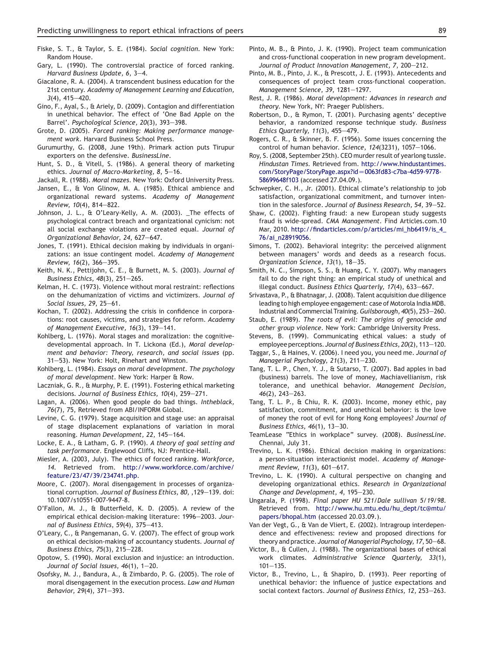- <span id="page-8-0"></span>Fiske, S. T., & Taylor, S. E. (1984). Social cognition. New York: Random House.
- Gary, L. (1990). The controversial practice of forced ranking. Harvard Business Update, 6, 3-4.
- Giacalone, R. A. (2004). A transcendent business education for the 21st century. Academy of Management Learning and Education,  $3(4)$ ,  $415-420$ .
- Gino, F., Ayal, S., & Ariely, D. (2009). Contagion and differentiation in unethical behavior. The effect of 'One Bad Apple on the Barrel'. Psychological Science, 20(3), 393-398.
- Grote, D. (2005). Forced ranking: Making performance management work. Harvard Business School Press.
- Gurumurthy, G. (2008, June 19th). Primark action puts Tirupur exporters on the defensive. BusinessLine.
- Hunt, S. D., & Vitell, S. (1986). A general theory of marketing ethics. Journal of Macro-Marketing, 8, 5-16.

Jackall, R. (1988). Moral mazes. New York: Oxford University Press.

- Jansen, E., & Von Glinow, M. A. (1985). Ethical ambience and organizational reward systems. Academy of Management Review, 10(4), 814-822.
- Johnson, J. L., & O'Leary-Kelly, A. M. (2003). \_The effects of psychological contract breach and organizational cynicism: not all social exchange violations are created equal. Journal of Organizational Behavior, 24, 627-647.
- Jones, T. (1991). Ethical decision making by individuals in organizations: an issue contingent model. Academy of Management Review, 16(2), 366-395.
- Keith, N. K., Pettijohn, C. E., & Burnett, M. S. (2003). Journal of Business Ethics,  $48(3)$ ,  $251-265$ .
- Kelman, H. C. (1973). Violence without moral restraint: reflections on the dehumanization of victims and victimizers. Journal of Social Issues,  $29.25 - 61.$
- Kochan, T. (2002). Addressing the crisis in confidence in corporations: root causes, victims, and strategies for reform. Academy of Management Executive, 16(3), 139-141.
- Kohlberg, L. (1976). Moral stages and moralization: the cognitivedevelopmental approach. In T. Lickona (Ed.), Moral development and behavior: Theory, research, and social issues (pp. 31-53). New York: Holt, Rinehart and Winston.
- Kohlberg, L. (1984). Essays on moral development. The psychology of moral development. New York: Harper & Row.
- Laczniak, G. R., & Murphy, P. E. (1991). Fostering ethical marketing decisions. Journal of Business Ethics, 10(4), 259-271.
- Lagan, A. (2006). When good people do bad things. Intheblack, 76(7), 75, Retrieved from ABI/INFORM Global.
- Levine, C. G. (1979). Stage acquisition and stage use: an appraisal of stage displacement explanations of variation in moral reasoning. Human Development, 22, 145-164.
- Locke, E. A., & Latham, G. P. (1990). A theory of goal setting and task performance. Englewood Cliffs, NJ: Prentice-Hall.
- Miesler, A. (2003, July). The ethics of forced ranking. Workforce, 14. Retrieved from. [http://www.workforce.com/archive/](http://www.workforce.com/archive/feature/23/47/39/234741.php) [feature/23/47/39/234741.php](http://www.workforce.com/archive/feature/23/47/39/234741.php).
- Moore, C. (2007). Moral disengagement in processes of organizational corruption. Journal of Business Ethics, 80, ,129-139. doi: 10.1007/s10551-007-9447-8.
- O'Fallon, M. J., & Butterfield, K. D. (2005). A review of the empirical ethical decision-making literature: 1996-2003. Journal of Business Ethics, 59(4), 375-413.
- O'Leary, C., & Pangemanan, G. V. (2007). The effect of group work on ethical decision-making of accountancy students. Journal of Business Ethics, 75(3), 215-228.
- Opotow, S. (1990). Moral exclusion and injustice: an introduction. Journal of Social Issues,  $46(1)$ ,  $1-20$ .
- Osofsky, M. J., Bandura, A., & Zimbardo, P. G. (2005). The role of moral disengagement in the execution process. Law and Human Behavior, 29(4), 371-393.
- Pinto, M. B., & Pinto, J. K. (1990). Project team communication and cross-functional cooperation in new program development. Journal of Product Innovation Management, 7, 200-212.
- Pinto, M. B., Pinto, J. K., & Prescott, J. E. (1993). Antecedents and consequences of project team cross-functional cooperation. Management Science, 39, 1281-1297.
- Rest, J. R. (1986). Moral development: Advances in research and theory. New York, NY: Praeger Publishers.
- Robertson, D., & Rymon, T. (2001). Purchasing agents' deceptive behavior, a randomized response technique study. Business Ethics Quarterly,  $11(3)$ ,  $455-479$ .
- Rogers, C. R., & Skinner, B. F. (1956). Some issues concerning the control of human behavior. Science, 124(3231), 1057-1066.
- Roy, S. (2008, September 25th). CEO murder result of yearlong tussle. Hindustan Times. Retrieved from. [http://www.hindustantimes.](http://www.hindustantimes.com/StoryPage/StoryPage.aspx?id%3D0063fd83-c7ba-4d59-9778-58699648f103) [com/StoryPage/StoryPage.aspx?id](http://www.hindustantimes.com/StoryPage/StoryPage.aspx?id%3D0063fd83-c7ba-4d59-9778-58699648f103)=0063fd83-c7ba-4d59-9778-[58699648f103](http://www.hindustantimes.com/StoryPage/StoryPage.aspx?id%3D0063fd83-c7ba-4d59-9778-58699648f103) (accessed 27.04.09.).
- Schwepker, C. H., Jr. (2001). Ethical climate's relationship to job satisfaction, organizational commitment, and turnover intention in the salesforce. Journal of Business Research, 54, 39-52.
- Shaw, C. (2002). Fighting fraud: a new European study suggests fraud is wide-spread. CMA Management. Find Articles.com.10 Mar, 2010. [http://findarticles.com/p/articles/mi\\_hb6419/is\\_4\\_](http://findarticles.com/p/articles/mi_hb6419/is_4_76/ai_n28919056) [76/ai\\_n28919056.](http://findarticles.com/p/articles/mi_hb6419/is_4_76/ai_n28919056)
- Simons, T. (2002). Behavioral integrity: the perceived alignment between managers' words and deeds as a research focus. Organization Science,  $13(1)$ ,  $18-35$ .
- Smith, N. C., Simpson, S. S., & Huang, C. Y. (2007). Why managers fail to do the right thing: an empirical study of unethical and illegal conduct. Business Ethics Quarterly, 17(4), 633-667.
- Srivastava, P., & Bhatnagar, J. (2008). Talent acquisition due diligence leading to high employee engagement: case of Motorola India MDB. Industrial and Commercial Training. Guilsborough, 40(5), 253-260.
- Staub, E. (1989). The roots of evil: The origins of genocide and other group violence. New York: Cambridge University Press.
- Stevens, B. (1999). Communicating ethical values: a study of employee perceptions. Journal of Business Ethics, 20(2), 113-120.
- Taggar, S., & Haines, V. (2006). I need you, you need me. Journal of Managerial Psychology, 21(3), 211-230.
- Tang, T. L. P., Chen, Y. J., & Sutarso, T. (2007). Bad apples in bad (business) barrels. The love of money, Machiavellianism, risk tolerance, and unethical behavior. Management Decision,  $46(2)$ , 243-263.
- Tang, T. L. P., & Chiu, R. K. (2003). Income, money ethic, pay satisfaction, commitment, and unethical behavior: is the love of money the root of evil for Hong Kong employees? Journal of Business Ethics,  $46(1)$ ,  $13-30$ .
- TeamLease "Ethics in workplace" survey. (2008). BusinessLine. Chennai, July 31.
- Trevino, L. K. (1986). Ethical decision making in organizations: a person-situation interactionist model. Academy of Management Review, 11(3), 601-617.
- Trevino, L. K. (1990). A cultural perspective on changing and developing organizational ethics. Research in Organizational Change and Development, 4, 195-230.
- Ungarala, P. (1998). Final paper HU 521/Dale sullivan 5/19/98. Retrieved from. [http://www.hu.mtu.edu/hu\\_dept/tc@mtu/](http://www.hu.mtu.edu/hu_dept/tc@mtu/papers/bhopal.htm) [papers/bhopal.htm](http://www.hu.mtu.edu/hu_dept/tc@mtu/papers/bhopal.htm) (accessed 20.03.09.).
- Van der Vegt, G., & Van de Vliert, E. (2002). Intragroup interdependence and effectiveness: review and proposed directions for theory and practice. Journal of Managerial Psychology, 17, 50-68.
- Victor, B., & Cullen, J. (1988). The organizational bases of ethical work climates. Administrative Science Quarterly, 33(1),  $101 - 135.$
- Victor, B., Trevino, L., & Shapiro, D. (1993). Peer reporting of unethical behavior: the influence of justice expectations and social context factors. Journal of Business Ethics, 12, 253-263.